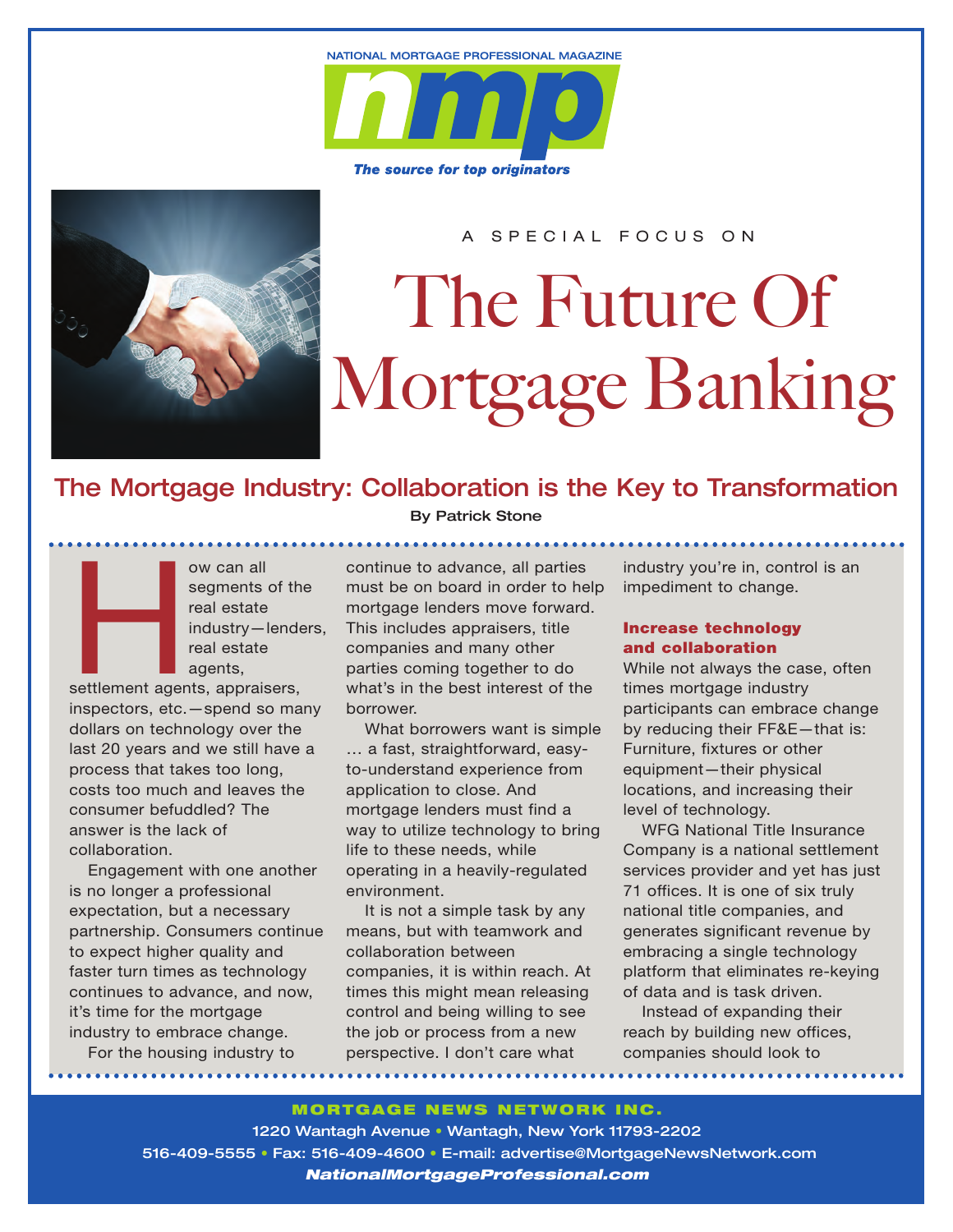



### A SPECIAL FOCUS ON

# The Future Of ortgage Bankir Mortgage Banking

## The Mortgage Industry: Collaboration is the Key to Transformation

By Patrick Stone

ow can all<br>
segments<br>
real estate<br>
industry—<br>
real estate<br>
agents,<br>
settlement agents, apprais<br>
inspectors etc —spend s segments of the real estate industry—lenders, real estate agents,

settlement agents, appraisers, inspectors, etc.—spend so many dollars on technology over the last 20 years and we still have a process that takes too long, costs too much and leaves the consumer befuddled? The answer is the lack of collaboration.

Engagement with one another is no longer a professional expectation, but a necessary partnership. Consumers continue to expect higher quality and faster turn times as technology continues to advance, and now, it's time for the mortgage industry to embrace change. For the housing industry to

. . . . . . . . . . . . . . . . . . . .

continue to advance, all parties must be on board in order to help mortgage lenders move forward. This includes appraisers, title companies and many other parties coming together to do what's in the best interest of the borrower.

What borrowers want is simple … a fast, straightforward, easyto-understand experience from application to close. And mortgage lenders must find a way to utilize technology to bring life to these needs, while operating in a heavily-regulated environment.

It is not a simple task by any means, but with teamwork and collaboration between companies, it is within reach. At times this might mean releasing control and being willing to see the job or process from a new perspective. I don't care what

industry you're in, control is an impediment to change.

#### **Increase technology and collaboration**

While not always the case, often times mortgage industry participants can embrace change by reducing their FF&E—that is: Furniture, fixtures or other equipment—their physical locations, and increasing their level of technology.

WFG National Title Insurance Company is a national settlement services provider and yet has just 71 offices. It is one of six truly national title companies, and generates significant revenue by embracing a single technology platform that eliminates re-keying of data and is task driven.

Instead of expanding their reach by building new offices, companies should look to

**MORTGAGE NEWS NETWORK INC.**

1220 Wantagh Avenue • Wantagh, New York 11793-2202 516-409-5555 • Fax: 516-409-4600 • E-mail: advertise@MortgageNewsNetwork.com *NationalMortgageProfessional.com*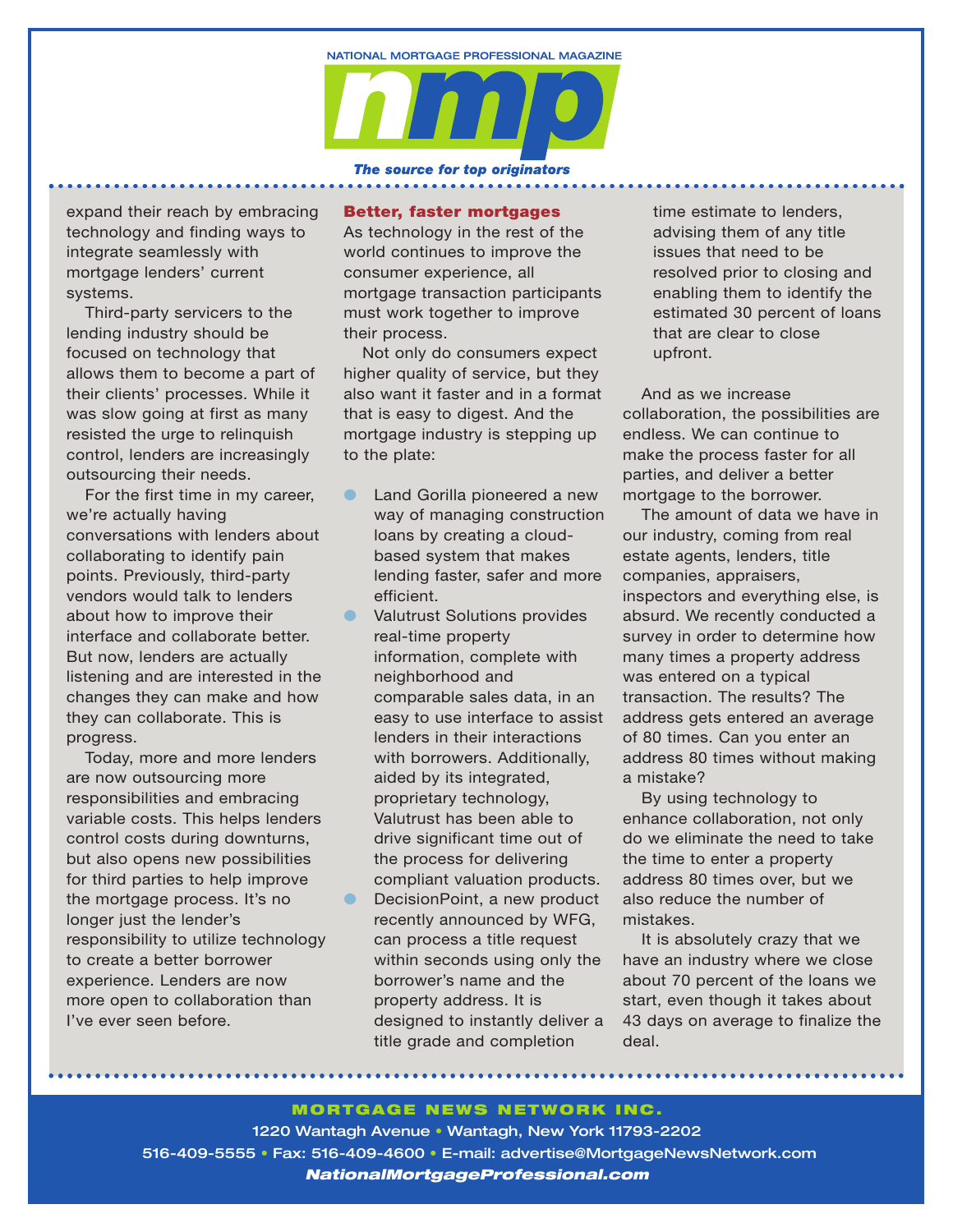

#### The source for top originators

expand their reach by embracing technology and finding ways to integrate seamlessly with mortgage lenders' current systems.

Third-party servicers to the lending industry should be focused on technology that allows them to become a part of their clients' processes. While it was slow going at first as many resisted the urge to relinquish control, lenders are increasingly outsourcing their needs.

For the first time in my career, we're actually having conversations with lenders about collaborating to identify pain points. Previously, third-party vendors would talk to lenders about how to improve their interface and collaborate better. But now, lenders are actually listening and are interested in the changes they can make and how they can collaborate. This is progress.

Today, more and more lenders are now outsourcing more responsibilities and embracing variable costs. This helps lenders control costs during downturns, but also opens new possibilities for third parties to help improve the mortgage process. It's no longer just the lender's responsibility to utilize technology to create a better borrower experience. Lenders are now more open to collaboration than I've ever seen before.

#### **Better, faster mortgages**

As technology in the rest of the world continues to improve the consumer experience, all mortgage transaction participants must work together to improve their process.

Not only do consumers expect higher quality of service, but they also want it faster and in a format that is easy to digest. And the mortgage industry is stepping up to the plate:

- **land Gorilla pioneered a new** way of managing construction loans by creating a cloudbased system that makes lending faster, safer and more efficient.
	- **Valutrust Solutions provides** real-time property information, complete with neighborhood and comparable sales data, in an easy to use interface to assist lenders in their interactions with borrowers. Additionally, aided by its integrated, proprietary technology, Valutrust has been able to drive significant time out of the process for delivering compliant valuation products.
- DecisionPoint, a new product recently announced by WFG, can process a title request within seconds using only the borrower's name and the property address. It is designed to instantly deliver a title grade and completion

time estimate to lenders, advising them of any title issues that need to be resolved prior to closing and enabling them to identify the estimated 30 percent of loans that are clear to close upfront.

And as we increase collaboration, the possibilities are endless. We can continue to make the process faster for all parties, and deliver a better mortgage to the borrower.

The amount of data we have in our industry, coming from real estate agents, lenders, title companies, appraisers, inspectors and everything else, is absurd. We recently conducted a survey in order to determine how many times a property address was entered on a typical transaction. The results? The address gets entered an average of 80 times. Can you enter an address 80 times without making a mistake?

By using technology to enhance collaboration, not only do we eliminate the need to take the time to enter a property address 80 times over, but we also reduce the number of mistakes.

It is absolutely crazy that we have an industry where we close about 70 percent of the loans we start, even though it takes about 43 days on average to finalize the deal.

. . . . . . . . . . . . . . . . . . .

#### **MORTGAGE NEWS NETWORK INC.**

1220 Wantagh Avenue • Wantagh, New York 11793-2202 516-409-5555 • Fax: 516-409-4600 • E-mail: advertise@MortgageNewsNetwork.com *NationalMortgageProfessional.com*